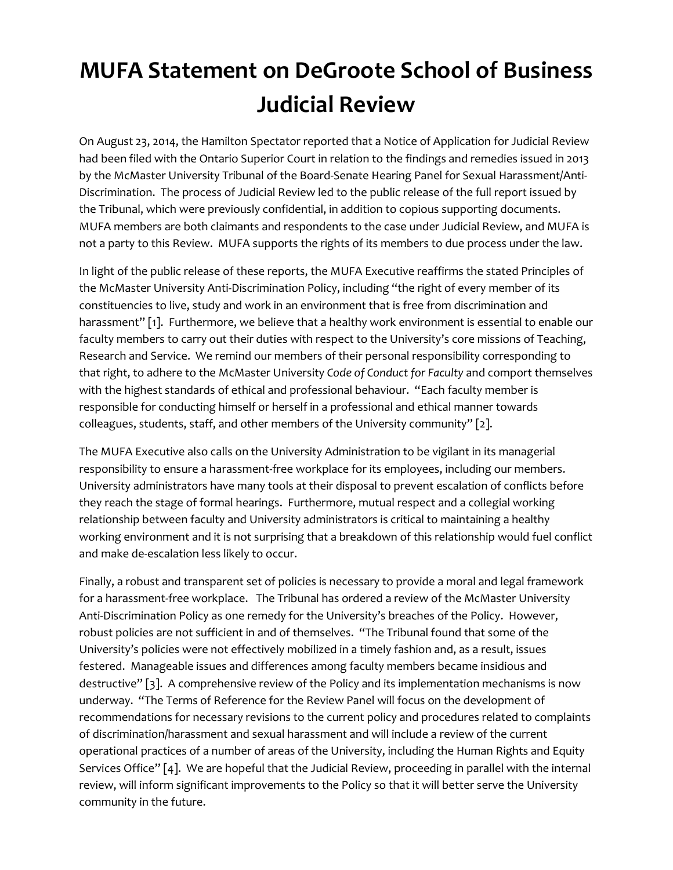## **MUFA Statement on DeGroote School of Business Judicial Review**

On August 23, 2014, the Hamilton Spectator reported that a Notice of Application for Judicial Review had been filed with the Ontario Superior Court in relation to the findings and remedies issued in 2013 by the McMaster University Tribunal of the Board-Senate Hearing Panel for Sexual Harassment/Anti-Discrimination. The process of Judicial Review led to the public release of the full report issued by the Tribunal, which were previously confidential, in addition to copious supporting documents. MUFA members are both claimants and respondents to the case under Judicial Review, and MUFA is not a party to this Review. MUFA supports the rights of its members to due process under the law.

In light of the public release of these reports, the MUFA Executive reaffirms the stated Principles of the McMaster University Anti-Discrimination Policy, including "the right of every member of its constituencies to live, study and work in an environment that is free from discrimination and harassment" [1]. Furthermore, we believe that a healthy work environment is essential to enable our faculty members to carry out their duties with respect to the University's core missions of Teaching, Research and Service. We remind our members of their personal responsibility corresponding to that right, to adhere to the McMaster University *Code of Conduct for Faculty* and comport themselves with the highest standards of ethical and professional behaviour. "Each faculty member is responsible for conducting himself or herself in a professional and ethical manner towards colleagues, students, staff, and other members of the University community" [2].

The MUFA Executive also calls on the University Administration to be vigilant in its managerial responsibility to ensure a harassment-free workplace for its employees, including our members. University administrators have many tools at their disposal to prevent escalation of conflicts before they reach the stage of formal hearings. Furthermore, mutual respect and a collegial working relationship between faculty and University administrators is critical to maintaining a healthy working environment and it is not surprising that a breakdown of this relationship would fuel conflict and make de-escalation less likely to occur.

Finally, a robust and transparent set of policies is necessary to provide a moral and legal framework for a harassment-free workplace. The Tribunal has ordered a review of the McMaster University Anti-Discrimination Policy as one remedy for the University's breaches of the Policy. However, robust policies are not sufficient in and of themselves. "The Tribunal found that some of the University's policies were not effectively mobilized in a timely fashion and, as a result, issues festered. Manageable issues and differences among faculty members became insidious and destructive" [3]. A comprehensive review of the Policy and its implementation mechanisms is now underway. "The Terms of Reference for the Review Panel will focus on the development of recommendations for necessary revisions to the current policy and procedures related to complaints of discrimination/harassment and sexual harassment and will include a review of the current operational practices of a number of areas of the University, including the Human Rights and Equity Services Office" [4]. We are hopeful that the Judicial Review, proceeding in parallel with the internal review, will inform significant improvements to the Policy so that it will better serve the University community in the future.